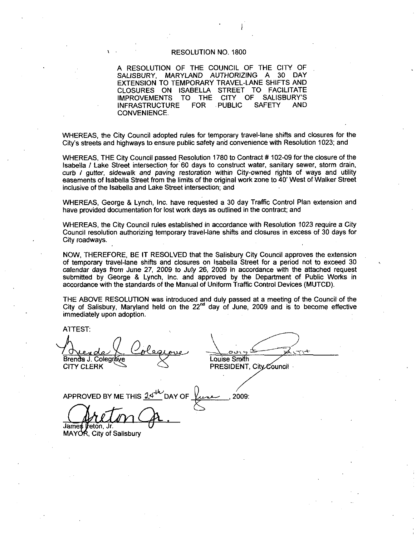#### RESOLUTION NO. 1800

A RESOLUTION OF THE COUNCIL OF THE CITY OF SALISBURY, MARYLAND AUTHORIZING A 30 DAY EXTENSION TO TEMPORARY TRAVEL-LANE SHIFTS AND CLOSURES ON ISABELLA STREET TO FACILITATE IMPROVEMENTS INFRASTRUCTURE TO THE FOR PUBLIC CITY OF **SAFETY** HE CITY OF<br>A 30 DAY<br>SHIFTS AND<br>FACILITATE<br>SALISBURY'S<br>FETY AND AND CONVENIENCE

WHEREAS, the City Council adopted rules for temporary travel-lane shifts and closures for the<br>City's streets and highways to ensure public safety and convenience with Resolution 1023; and City's streets and highways to ensure public safety and convenience with Resolution 1023; and<br>WHEREAS, THE City Council passed Resolution 1780 to Contract # 102-09 for the closure of the

Isabella / Lake Street intersection for 60 days to construct water, sanitary sewer, storm drain, curb / gutter, sidewalk and paving restoration within City-owned rights of ways and utility easements of Isabella Street from the limits of the original work zone to 40' West of Walker Street inclusive of the Isabella and Lake Street intersection; and

WHEREAS, George & Lynch, Inc. have requested a 30 day Traffic Control Plan extension and have provided documentation for lost work days as outlined in the contract; and

WHEREAS, the City Council rules established in accordance with Resolution 1023 require a City Council resolution authorizing temporary travel-lane shifts and closures in excess of 30 days for City roadways

NOW, THEREFORE, BE IT RESOLVED that the Salisbury City Council approves the extension of temporary travel-lane shifts and closures on Isabella Street for a period not to exceed 30 calendar days from June 27, 2009 to July 26, 2009 in accordance with the attached request submitted by George & Lynch, Inc. and approved by the Department of Public Works in accordance with the standards of the Manual of Uniform Traffic Control Devices (MUTCD).

THE ABOVE RESOLUTION was introduced and duly passed at a meeting of the Council of the City of Salisbury, Maryland held on the  $22<sup>nd</sup>$  day of June, 2009 and is to become effective immediately upon adoption.

ATTEST

 $\overline{\phantom{0}}$ Brenda J. Colegrove CITY CLERK

Louise Smith PRESIDENT, City Council

APPROVED BY ME THIS  $2$ 2009: James Ireton Jr.

MAYOR. City of Salisbury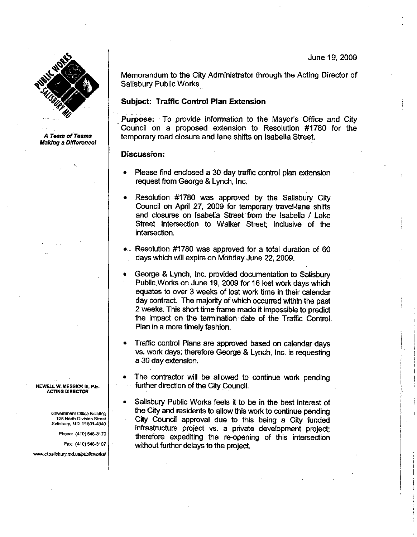

A Team of Teams Making a Difference! Memorandum to the City Administrator through the Acting Director of Salisbury Public Works

# Subject: Trafflc Control Plan Extension

Purpose: To provide information to the Mayor's Office and City Council on a proposed extension to Resolution #1780 for the temporary road Gosure and lane shifts on Isabella Street

### Discussion:

- Please find enclosed a 30 day traffic control plan extension request from George & Lynch, Inc.
- Resolution #1780 was approved by the Salisbury City Council on April 27, 2009 for temporary travel-lane shifts and closures on Isabella Street from the Isabella / Lake Street Intersection to Walker Street inclusive of the intersection
- ... Resolution #1780 was approved for a total duration of 60 days which will expire on Monday June 22, 2009.
- George & Lynch, Inc. provided documentation to Salisbury Public Works on June 19, 2009 for 16 lost work days which equates to over 3 weeks of lost work time in their calendar day contract The majority of which occurred within the past 2 weeks. This short time frame made it impossible to predict the impact on the termination date of the Traffic Control. Plan in a more timely fashion
- Traffic control Plans are approved based on calendar days vs. work days; therefore George & Lynch, Inc. is requesting a 30 day extension
- The contractor will be allowed to continue work pending further direction of the City Council
- Salisbury Public Works feels it to be in the best interest of the City and residents to allow this work to continue pending 125 North Division Street City Council approval due to this being a City funded Salisbury, MD 21801-4940 infrastructure project vs. a private development project;<br>therefore expediting the re-opening of this intersection Frax: (410) 548-3107<br>
Particularly experiment Office Building<br>
25 North Division Street<br>
Shorth Division Street<br>
Shorth Division Street<br>
Shorth Division Street<br>
Phone: (410) 548-3107<br>
Fax: (410) 548-3107<br>
Phone: (410) 548-Fax: (410) 548-3170<br>
Pa can be can be called the City and residents to allow this is the City and residents to allow this is to the project<br>
North Division Street<br>
Lines (410) 548-3170<br>
Fax: (410) 548-3170<br>
Fax: (410) 548-

NEWELL W. MESSICK 111, P.E. **ACTING DIRECTOR** 

Government Office Building<br>125 North Division Street L.W. MESSICK III, P.E.<br>
STING DIRECTOR<br>
Sovernment Office Building<br>
125 North Division Street<br>
Salisbury, MD 21801-4940<br>
Phone: (410) 548-3170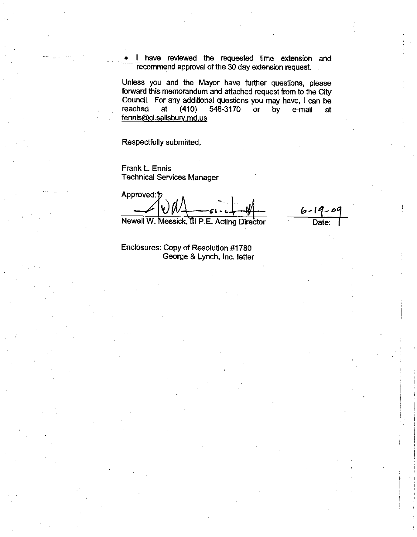<sup>I</sup> have reviewed the requested time extension and recommend approval of the 30 day extension request.

Unless you and the Mayor have further questions, please forward this memorandum and attached request from to the City Council. For any additional questions you may have, I can be Unless you and the Mayor have further questions, please<br>forward this memorandum and attached request from to the City<br>Council. For any additional questions you may have, I can be<br>reached at (410) 548-3170 or by e-mail at<br>f • I have reviewed the<br>recommend approval of the<br>Unless you and the Mayor<br>forward this memorandum and<br>Council. For any additional creached at (410) 548<br>fennis@ci.salisbury.md.us<br>Respectfully submitted,

 $6 - 19 - 09$ 

Respectfully submitted

Frank L. Ennis

Technical Services Manager l Approved:<sup>1</sup> <sup>V</sup> l sa <sup>i</sup>

Newell W. Messick, **III P.E. Acting Director** Date:

Enclosures: Copy of Resolution #1780 George & Lynch, Inc. letter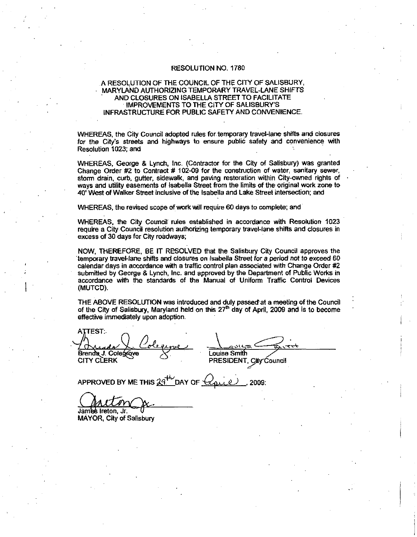#### RESOLUTION NO. 1780

# A RESOLUTION OF THE COUNCIL OF THE CITY OF SALISBURY MARYLAND AUTHORIZING TEMPORARY TRAVEL LANESHIFTS MARYLAND AUTHORIZING TEMPORARY TRAVEL-LANE SHIFTS<br>AND CLOSURES ON ISABELLA STREET TO FACILITATE INFRASTRUCTURE FOR PUBLIC SAFETY ANO CONVENIENCE IMPROVEMENTS TO THE CITY OF 780<br>CITY OF SALISI<br>RAVEL-LANE SI<br>T TO FACILITAT<br>SALISBURY'S<br>AND CONVENIE

WHEREAS, the City Council adopted rules for temporary travel-lane shifts and closures<br>for the City's streets and highways to ensure public safety and convenience with<br>Resolution 1023: and Resolution 1023; and

WHEREAS, George & Lynch, Inc. (Contractor for the City of Salisbury) was granted WHEREAS, George & Lynch, Inc. (Contractor for the City of Salisbury) was granted<br>Change Order #2 to Contract # 102-09 for the construction of water, sanitary sewer, Change Order  $#2$  to Contract  $#102-09$  for the construction of water, sanitary sewer, storm drain, curb, gutter, sidewalk, and paving restoration within City-owned rights of the particle of the price of the price of the storm drain, curb, gutter, sidewalk, and paving restoration within City-owned rights of ways and utility easements of Isabella Street from the limits of the original work zone to 40' West of Walker Street inclusive of the Isabella and Lake Street intersection; and

WHEREAS, the revised scope of work will require 60 days to complete; and

WHEREAS the City Councif rules established in accordance with Resolution 1023 require a City Council resolution authorizing temporary travel-lane shifts and closures in excess of 30 days for City roadways

NOW, THEREFORE, BE IT RESOLVED that the Salisbury City Council approves the temporary travel-lane shifts and closures on Isabella Street for a period not to exceed 60 calendar days in accordance with a traffic control plan associated with Change Order #2 submitted by George & Lynch, Inc. and approved by the Department of Public Works in accordance with the standards of the Manual of Uniform Traffic Control Devices (MUTCD).

THE ABOVE RESOLUTION was introduced and duly passertat ameeting of the Council The ABOVE RESOLUTION was inducted and duly passed at a meeting of the Council of the City of Salisbury, Maryland held on this  $27<sup>th</sup>$  day of April, 2009 and is to become effective immediately upon adoption.

 $\tt{ATTEST}$  . Brenda J. Cotegrave<br>CITY CLERK ATTEST:<br>
CHARACTOR COLOR CONTRACTOR<br>
CITY CLERK<br>
APPROVED BY ME THIS<br>
COLOR CITY CLERK<br>
COLOR CITY OF Salisbury<br>
MAYOR, City of Salisbury

Louise Smith <u>ان</u> ed at a meeting<br>April, 2009 and<br>City Council PRESIDENT, City Council

APPROVED BY ME THIS  $29^{44}$  DAY OF  $Q_{\text{disc}}(2)$ , 2009:

James Ireton, Jr. MAYOR, City of Salisbury